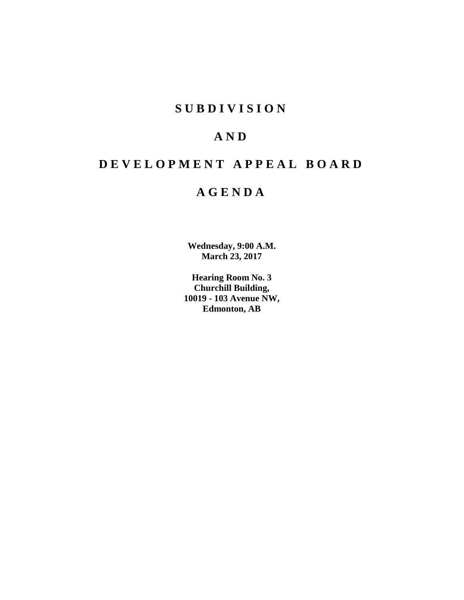# **SUBDIVISION**

# **AND**

# **DEVELOPMENT APPEAL BOARD**

# **AGENDA**

**Wednesday, 9:00 A.M. March 23, 2017**

**Hearing Room No. 3 Churchill Building, 10019 - 103 Avenue NW, Edmonton, AB**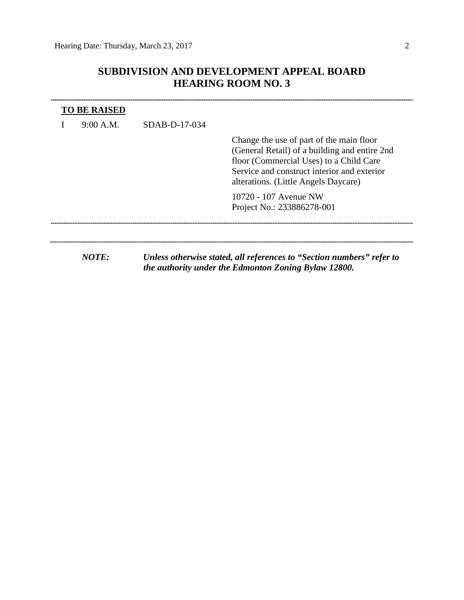## **SUBDIVISION AND DEVELOPMENT APPEAL BOARD HEARING ROOM NO. 3**

| <b>TO BE RAISED</b><br>9:00 A.M. | $SDAB-D-17-034$                                                                                                               |                                                                                                                                                                                                                             |  |  |
|----------------------------------|-------------------------------------------------------------------------------------------------------------------------------|-----------------------------------------------------------------------------------------------------------------------------------------------------------------------------------------------------------------------------|--|--|
|                                  |                                                                                                                               | Change the use of part of the main floor<br>(General Retail) of a building and entire 2nd<br>floor (Commercial Uses) to a Child Care<br>Service and construct interior and exterior<br>alterations. (Little Angels Daycare) |  |  |
|                                  |                                                                                                                               | 10720 - 107 Avenue NW<br>Project No.: 233886278-001                                                                                                                                                                         |  |  |
| NOTE:                            | Unless otherwise stated, all references to "Section numbers" refer to<br>the authority under the Edmonton Zoning Bylaw 12800. |                                                                                                                                                                                                                             |  |  |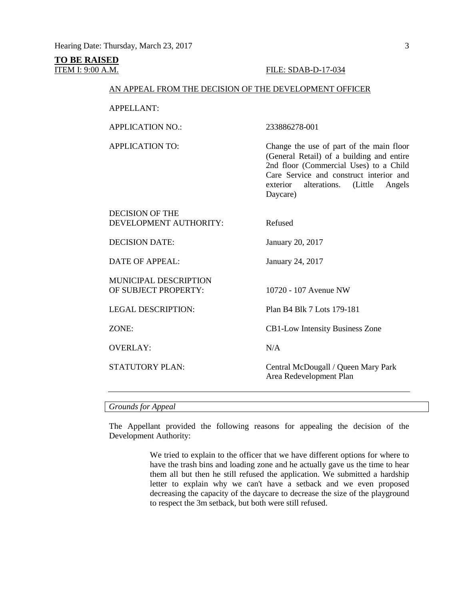## **TO BE RAISED**

### **ITEM I: 9:00 A.M. FILE: SDAB-D-17-034**

### AN APPEAL FROM THE DECISION OF THE DEVELOPMENT OFFICER

APPELLANT:

APPLICATION NO.: 233886278-001

APPLICATION TO: Change the use of part of the main floor (General Retail) of a building and entire 2nd floor (Commercial Uses) to a Child Care Service and construct interior and<br>exterior alterations. (Little Angels alterations. (Little Angels Daycare)

| DECISION OF THE<br>DEVELOPMENT AUTHORITY:            | Refused                                                        |
|------------------------------------------------------|----------------------------------------------------------------|
| <b>DECISION DATE:</b>                                | January 20, 2017                                               |
| DATE OF APPEAL:                                      | January 24, 2017                                               |
| <b>MUNICIPAL DESCRIPTION</b><br>OF SUBJECT PROPERTY: | 10720 - 107 Avenue NW                                          |
| <b>LEGAL DESCRIPTION:</b>                            | Plan B4 Blk 7 Lots 179-181                                     |
| ZONE:                                                | <b>CB1-Low Intensity Business Zone</b>                         |
| <b>OVERLAY:</b>                                      | N/A                                                            |
| <b>STATUTORY PLAN:</b>                               | Central McDougall / Queen Mary Park<br>Area Redevelopment Plan |
|                                                      |                                                                |

#### *Grounds for Appeal*

The Appellant provided the following reasons for appealing the decision of the Development Authority:

> We tried to explain to the officer that we have different options for where to have the trash bins and loading zone and he actually gave us the time to hear them all but then he still refused the application. We submitted a hardship letter to explain why we can't have a setback and we even proposed decreasing the capacity of the daycare to decrease the size of the playground to respect the 3m setback, but both were still refused.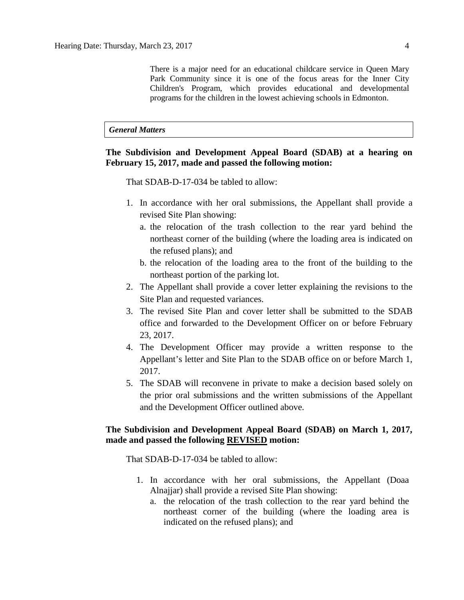There is a major need for an educational childcare service in Queen Mary Park Community since it is one of the focus areas for the Inner City Children's Program, which provides educational and developmental programs for the children in the lowest achieving schools in Edmonton.

### *General Matters*

## **The Subdivision and Development Appeal Board (SDAB) at a hearing on February 15, 2017, made and passed the following motion:**

That SDAB-D-17-034 be tabled to allow:

- 1. In accordance with her oral submissions, the Appellant shall provide a revised Site Plan showing:
	- a. the relocation of the trash collection to the rear yard behind the northeast corner of the building (where the loading area is indicated on the refused plans); and
	- b. the relocation of the loading area to the front of the building to the northeast portion of the parking lot.
- 2. The Appellant shall provide a cover letter explaining the revisions to the Site Plan and requested variances.
- 3. The revised Site Plan and cover letter shall be submitted to the SDAB office and forwarded to the Development Officer on or before February 23, 2017.
- 4. The Development Officer may provide a written response to the Appellant's letter and Site Plan to the SDAB office on or before March 1, 2017.
- 5. The SDAB will reconvene in private to make a decision based solely on the prior oral submissions and the written submissions of the Appellant and the Development Officer outlined above.

## **The Subdivision and Development Appeal Board (SDAB) on March 1, 2017, made and passed the following REVISED motion:**

That SDAB-D-17-034 be tabled to allow:

- 1. In accordance with her oral submissions, the Appellant (Doaa Alnajjar) shall provide a revised Site Plan showing:
	- a. the relocation of the trash collection to the rear yard behind the northeast corner of the building (where the loading area is indicated on the refused plans); and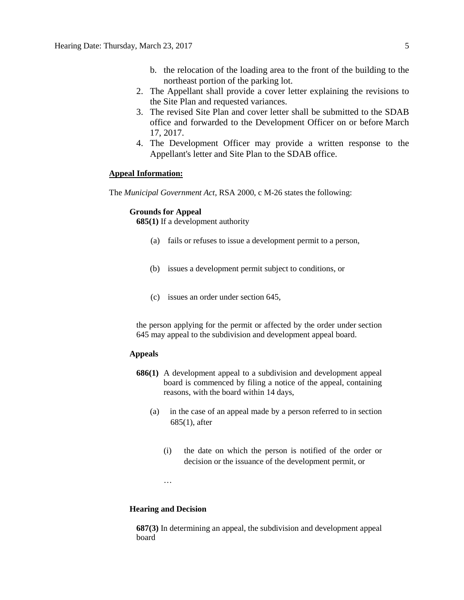- b. the relocation of the loading area to the front of the building to the northeast portion of the parking lot.
- 2. The Appellant shall provide a cover letter explaining the revisions to the Site Plan and requested variances.
- 3. The revised Site Plan and cover letter shall be submitted to the SDAB office and forwarded to the Development Officer on or before March 17, 2017.
- 4. The Development Officer may provide a written response to the Appellant's letter and Site Plan to the SDAB office.

#### **Appeal Information:**

The *Municipal Government Act*, RSA 2000, c M-26 states the following:

### **Grounds for Appeal**

**685(1)** If a development authority

- (a) fails or refuses to issue a development permit to a person,
- (b) issues a development permit subject to conditions, or
- (c) issues an order under section 645,

the person applying for the permit or affected by the order under section 645 may appeal to the subdivision and development appeal board.

### **Appeals**

- **686(1)** A development appeal to a subdivision and development appeal board is commenced by filing a notice of the appeal, containing reasons, with the board within 14 days,
	- (a) in the case of an appeal made by a person referred to in section 685(1), after
		- (i) the date on which the person is notified of the order or decision or the issuance of the development permit, or

…

#### **Hearing and Decision**

**687(3)** In determining an appeal, the subdivision and development appeal board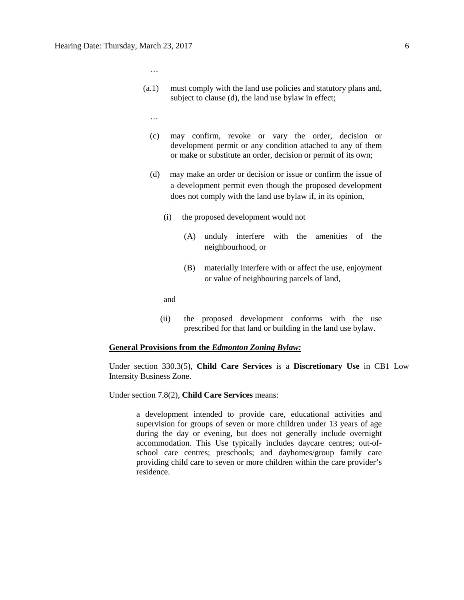- (a.1) must comply with the land use policies and statutory plans and, subject to clause (d), the land use bylaw in effect;
	- …

…

- (c) may confirm, revoke or vary the order, decision or development permit or any condition attached to any of them or make or substitute an order, decision or permit of its own;
- (d) may make an order or decision or issue or confirm the issue of a development permit even though the proposed development does not comply with the land use bylaw if, in its opinion,
	- (i) the proposed development would not
		- (A) unduly interfere with the amenities of the neighbourhood, or
		- (B) materially interfere with or affect the use, enjoyment or value of neighbouring parcels of land,

and

(ii) the proposed development conforms with the use prescribed for that land or building in the land use bylaw.

#### **General Provisions from the** *Edmonton Zoning Bylaw:*

Under section 330.3(5), **Child Care Services** is a **Discretionary Use** in CB1 Low Intensity Business Zone.

Under section 7.8(2), **Child Care Services** means:

a development intended to provide care, educational activities and supervision for groups of seven or more children under 13 years of age during the day or evening, but does not generally include overnight accommodation. This Use typically includes daycare centres; out-ofschool care centres; preschools; and dayhomes/group family care providing child care to seven or more children within the care provider's residence.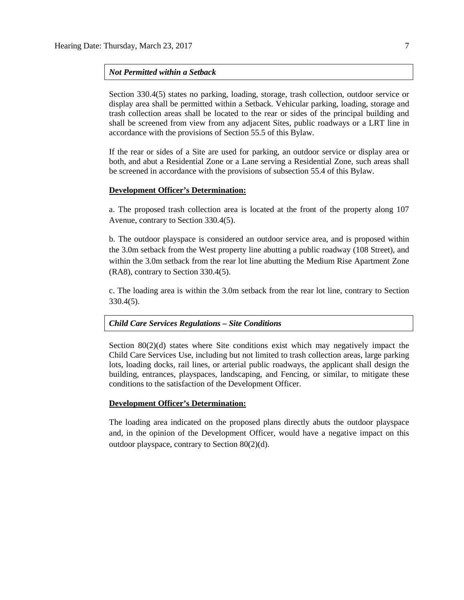### *Not Permitted within a Setback*

Section 330.4(5) states no parking, loading, storage, trash collection, outdoor service or display area shall be permitted within a Setback. Vehicular parking, loading, storage and trash collection areas shall be located to the rear or sides of the principal building and shall be screened from view from any adjacent Sites, public roadways or a LRT line in accordance with the provisions of Section 55.5 of this Bylaw.

If the rear or sides of a Site are used for parking, an outdoor service or display area or both, and abut a Residential Zone or a Lane serving a Residential Zone, such areas shall be screened in accordance with the provisions of subsection 55.4 of this Bylaw.

#### **Development Officer's Determination:**

a. The proposed trash collection area is located at the front of the property along 107 Avenue, contrary to Section 330.4(5).

b. The outdoor playspace is considered an outdoor service area, and is proposed within the 3.0m setback from the West property line abutting a public roadway (108 Street), and within the 3.0m setback from the rear lot line abutting the Medium Rise Apartment Zone (RA8), contrary to Section 330.4(5).

c. The loading area is within the 3.0m setback from the rear lot line, contrary to Section 330.4(5).

#### *Child Care Services Regulations – Site Conditions*

Section  $80(2)(d)$  states where Site conditions exist which may negatively impact the Child Care Services Use, including but not limited to trash collection areas, large parking lots, loading docks, rail lines, or arterial public roadways, the applicant shall design the building, entrances, playspaces, landscaping, and Fencing, or similar, to mitigate these conditions to the satisfaction of the Development Officer.

#### **Development Officer's Determination:**

The loading area indicated on the proposed plans directly abuts the outdoor playspace and, in the opinion of the Development Officer, would have a negative impact on this outdoor playspace, contrary to Section 80(2)(d).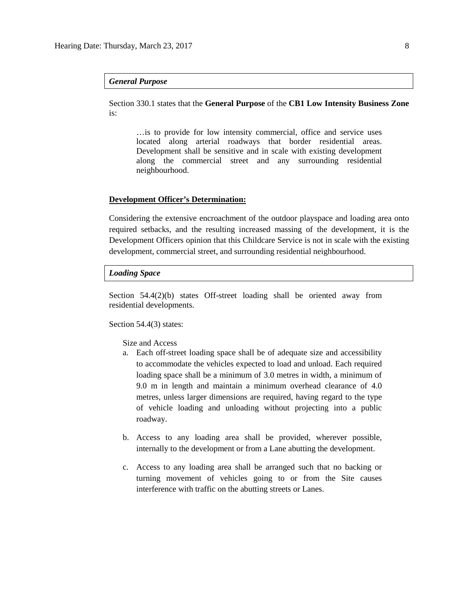#### *General Purpose*

Section 330.1 states that the **General Purpose** of the **CB1 Low Intensity Business Zone**  is:

…is to provide for low intensity commercial, office and service uses located along arterial roadways that border residential areas. Development shall be sensitive and in scale with existing development along the commercial street and any surrounding residential neighbourhood.

### **Development Officer's Determination:**

Considering the extensive encroachment of the outdoor playspace and loading area onto required setbacks, and the resulting increased massing of the development, it is the Development Officers opinion that this Childcare Service is not in scale with the existing development, commercial street, and surrounding residential neighbourhood.

#### *Loading Space*

Section 54.4(2)(b) states Off-street loading shall be oriented away from residential developments.

Section 54.4(3) states:

Size and Access

- a. Each off-street loading space shall be of adequate size and accessibility to accommodate the vehicles expected to load and unload. Each required loading space shall be a minimum of 3.0 metres in width, a minimum of 9.0 m in length and maintain a minimum overhead clearance of 4.0 metres, unless larger dimensions are required, having regard to the type of vehicle loading and unloading without projecting into a public roadway.
- b. Access to any loading area shall be provided, wherever possible, internally to the development or from a Lane abutting the development.
- c. Access to any loading area shall be arranged such that no backing or turning movement of vehicles going to or from the Site causes interference with traffic on the abutting streets or Lanes.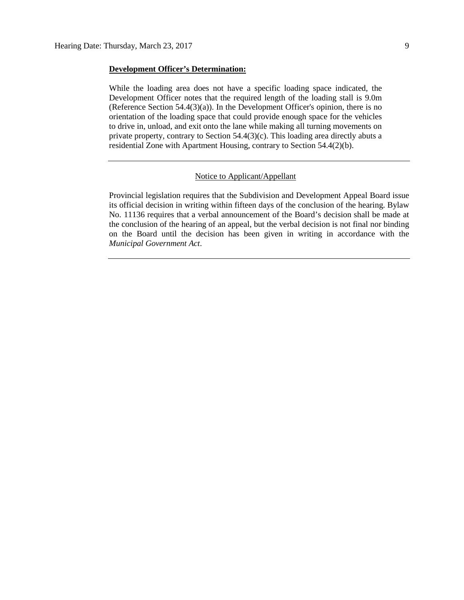#### **Development Officer's Determination:**

While the loading area does not have a specific loading space indicated, the Development Officer notes that the required length of the loading stall is 9.0m (Reference Section 54.4(3)(a)). In the Development Officer's opinion, there is no orientation of the loading space that could provide enough space for the vehicles to drive in, unload, and exit onto the lane while making all turning movements on private property, contrary to Section 54.4(3)(c). This loading area directly abuts a residential Zone with Apartment Housing, contrary to Section 54.4(2)(b).

#### Notice to Applicant/Appellant

Provincial legislation requires that the Subdivision and Development Appeal Board issue its official decision in writing within fifteen days of the conclusion of the hearing. Bylaw No. 11136 requires that a verbal announcement of the Board's decision shall be made at the conclusion of the hearing of an appeal, but the verbal decision is not final nor binding on the Board until the decision has been given in writing in accordance with the *Municipal Government Act*.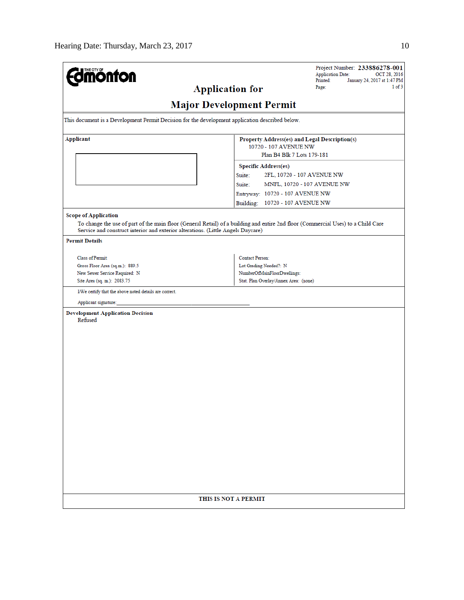| <b>mönton</b>                                                                                   | Project Number: 233886278-001<br><b>Application Date:</b><br>OCT 28, 2016<br>Printed:<br>January 24, 2017 at 1:47 PM              |  |  |  |  |  |  |  |  |
|-------------------------------------------------------------------------------------------------|-----------------------------------------------------------------------------------------------------------------------------------|--|--|--|--|--|--|--|--|
|                                                                                                 | 1 of 3<br><b>Application for</b><br>Page:                                                                                         |  |  |  |  |  |  |  |  |
| <b>Major Development Permit</b>                                                                 |                                                                                                                                   |  |  |  |  |  |  |  |  |
|                                                                                                 |                                                                                                                                   |  |  |  |  |  |  |  |  |
| This document is a Development Permit Decision for the development application described below. |                                                                                                                                   |  |  |  |  |  |  |  |  |
| Applicant                                                                                       | Property Address(es) and Legal Description(s)                                                                                     |  |  |  |  |  |  |  |  |
|                                                                                                 | 10720 - 107 AVENUE NW<br>Plan B4 Blk 7 Lots 179-181                                                                               |  |  |  |  |  |  |  |  |
|                                                                                                 | <b>Specific Address(es)</b>                                                                                                       |  |  |  |  |  |  |  |  |
|                                                                                                 | Suite:<br>2FL, 10720 - 107 AVENUE NW                                                                                              |  |  |  |  |  |  |  |  |
|                                                                                                 | Suite:<br>MNFL, 10720 - 107 AVENUE NW                                                                                             |  |  |  |  |  |  |  |  |
|                                                                                                 | Entryway: 10720 - 107 AVENUE NW                                                                                                   |  |  |  |  |  |  |  |  |
|                                                                                                 | Building: 10720 - 107 AVENUE NW                                                                                                   |  |  |  |  |  |  |  |  |
| <b>Scope of Application</b>                                                                     |                                                                                                                                   |  |  |  |  |  |  |  |  |
| Service and construct interior and exterior alterations. (Little Angels Daycare)                | To change the use of part of the main floor (General Retail) of a building and entire 2nd floor (Commercial Uses) to a Child Care |  |  |  |  |  |  |  |  |
| <b>Permit Details</b>                                                                           |                                                                                                                                   |  |  |  |  |  |  |  |  |
| Class of Permit:                                                                                | <b>Contact Person:</b>                                                                                                            |  |  |  |  |  |  |  |  |
| Gross Floor Area (sq.m.): 889.5                                                                 | Lot Grading Needed?: N                                                                                                            |  |  |  |  |  |  |  |  |
| New Sewer Service Required: N                                                                   | NumberOfMainFloorDwellings:                                                                                                       |  |  |  |  |  |  |  |  |
| Site Area (sq. m.): 2083.75                                                                     | Stat. Plan Overlay/Annex Area: (none)                                                                                             |  |  |  |  |  |  |  |  |
| I/We certify that the above noted details are correct.                                          |                                                                                                                                   |  |  |  |  |  |  |  |  |
| Applicant signature:                                                                            |                                                                                                                                   |  |  |  |  |  |  |  |  |
| <b>Development Application Decision</b><br>Refused                                              |                                                                                                                                   |  |  |  |  |  |  |  |  |
|                                                                                                 |                                                                                                                                   |  |  |  |  |  |  |  |  |
|                                                                                                 |                                                                                                                                   |  |  |  |  |  |  |  |  |
|                                                                                                 |                                                                                                                                   |  |  |  |  |  |  |  |  |
|                                                                                                 |                                                                                                                                   |  |  |  |  |  |  |  |  |
|                                                                                                 |                                                                                                                                   |  |  |  |  |  |  |  |  |
|                                                                                                 |                                                                                                                                   |  |  |  |  |  |  |  |  |
|                                                                                                 |                                                                                                                                   |  |  |  |  |  |  |  |  |
|                                                                                                 |                                                                                                                                   |  |  |  |  |  |  |  |  |
|                                                                                                 |                                                                                                                                   |  |  |  |  |  |  |  |  |
|                                                                                                 |                                                                                                                                   |  |  |  |  |  |  |  |  |
|                                                                                                 |                                                                                                                                   |  |  |  |  |  |  |  |  |
|                                                                                                 |                                                                                                                                   |  |  |  |  |  |  |  |  |
|                                                                                                 |                                                                                                                                   |  |  |  |  |  |  |  |  |
|                                                                                                 |                                                                                                                                   |  |  |  |  |  |  |  |  |
|                                                                                                 |                                                                                                                                   |  |  |  |  |  |  |  |  |
|                                                                                                 |                                                                                                                                   |  |  |  |  |  |  |  |  |
|                                                                                                 |                                                                                                                                   |  |  |  |  |  |  |  |  |
|                                                                                                 |                                                                                                                                   |  |  |  |  |  |  |  |  |
|                                                                                                 | THIS IS NOT A PERMIT                                                                                                              |  |  |  |  |  |  |  |  |
|                                                                                                 |                                                                                                                                   |  |  |  |  |  |  |  |  |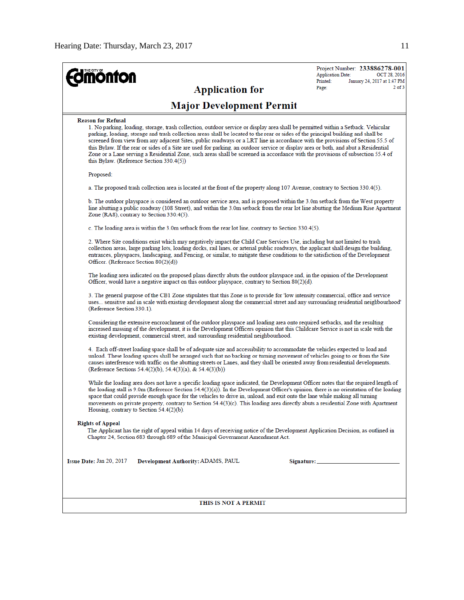$2$  of  $3$ 

**Application Date:** 

 $Pinted:$ 

Page:

**Application for** 

# **Major Development Permit**

#### **Reason for Refusal**

*<u> dinonton</u>* 

1. No parking, loading, storage, trash collection, outdoor service or display area shall be permitted within a Setback. Vehicular parking, loading, storage and trash collection areas shall be located to the rear or sides of the principal building and shall be screened from view from any adjacent Sites, public roadways or a LRT line in accordance with the provisions of Section 55.5 of this Bylaw. If the rear or sides of a Site are used for parking, an outdoor service or display area or both, and abut a Residential Zone or a Lane serving a Residential Zone, such areas shall be screened in accordance with the provisions of subsection 55.4 of this Bylaw. (Reference Section 330.4(5)) Proposed:

a. The proposed trash collection area is located at the front of the property along 107 Avenue, contrary to Section 330.4(5).

b. The outdoor playspace is considered an outdoor service area, and is proposed within the 3.0m setback from the West property line abutting a public roadway (108 Street), and within the 3.0m setback from the rear lot line abutting the Medium Rise Apartment Zone (RA8), contrary to Section 330.4(5).

c. The loading area is within the 3.0m setback from the rear lot line, contrary to Section 330.4(5).

2. Where Site conditions exist which may negatively impact the Child Care Services Use, including but not limited to trash collection areas, large parking lots, loading docks, rail lines, or arterial public roadways, the applicant shall design the building. entrances, playspaces, landscaping, and Fencing, or similar, to mitigate these conditions to the satisfaction of the Development Officer. (Reference Section 80(2)(d))

The loading area indicated on the proposed plans directly abuts the outdoor playspace and, in the opinion of the Development Officer, would have a negative impact on this outdoor playspace, contrary to Section  $80(2)(d)$ .

3. The general purpose of the CB1 Zone stipulates that this Zone is to provide for 'low intensity commercial, office and service uses... sensitive and in scale with existing development along the commercial street and any surrounding residential neighbourhood' (Reference Section 330.1).

Considering the extensive encroachment of the outdoor playspace and loading area onto required setbacks, and the resulting increased massing of the development, it is the Development Officers opinion that this Childcare Service is not in scale with the existing development, commercial street, and surrounding residential neighbourhood.

4. Each off-street loading space shall be of adequate size and accessibility to accommodate the vehicles expected to load and unload. These loading spaces shall be arranged such that no backing or turning movement of vehicles going to or from the Site causes interference with traffic on the abutting streets or Lanes, and they shall be oriented away from residential developments. (Reference Sections 54.4(2)(b), 54.4(3)(a), & 54.4(3)(b))

While the loading area does not have a specific loading space indicated, the Development Officer notes that the required length of the loading stall is 9.0m (Reference Section 54.4(3)(a)). In the Development Officer's opinion, there is no orientation of the loading space that could provide enough space for the vehicles to drive in, unload, and exit onto the lane while making all turning movements on private property, contrary to Section 54.4(3)(c). This loading area directly abuts a residential Zone with Apartment Housing, contrary to Section 54.4(2)(b).

#### **Rights of Appeal**

The Applicant has the right of appeal within 14 days of receiving notice of the Development Application Decision, as outlined in Chapter 24, Section 683 through 689 of the Municipal Government Amendment Act.

Issue Date: Jan 20, 2017 Development Authority: ADAMS, PAUL Signature:

#### THIS IS NOT A PERMIT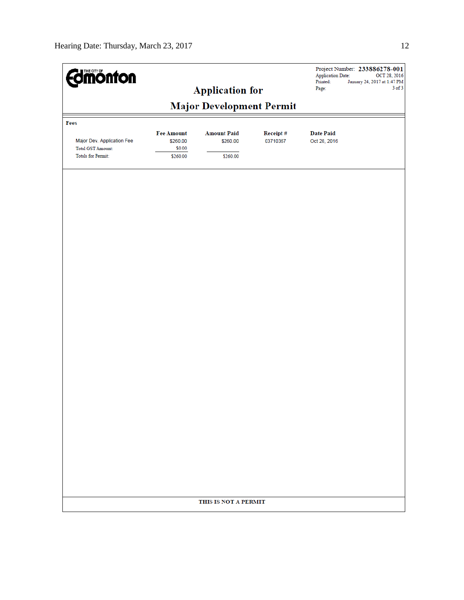| <b>Edmönton</b>                                                                     |                                                     | <b>Application for</b>                     |                      | <b>Application Date:</b><br>Printed:<br>Page: | Project Number: 233886278-001<br>OCT 28, 2016<br>January 24, 2017 at 1:47 PM<br>$3$ of $3$ |  |  |  |  |  |
|-------------------------------------------------------------------------------------|-----------------------------------------------------|--------------------------------------------|----------------------|-----------------------------------------------|--------------------------------------------------------------------------------------------|--|--|--|--|--|
| <b>Major Development Permit</b>                                                     |                                                     |                                            |                      |                                               |                                                                                            |  |  |  |  |  |
| Fees                                                                                |                                                     |                                            |                      |                                               |                                                                                            |  |  |  |  |  |
| Major Dev. Application Fee<br><b>Total GST Amount:</b><br><b>Totals for Permit:</b> | <b>Fee Amount</b><br>\$260.00<br>\$0.00<br>\$260.00 | <b>Amount Paid</b><br>\$260.00<br>\$260.00 | Receipt#<br>03710367 | <b>Date Paid</b><br>Oct 28, 2016              |                                                                                            |  |  |  |  |  |
|                                                                                     |                                                     |                                            |                      |                                               |                                                                                            |  |  |  |  |  |
|                                                                                     |                                                     |                                            |                      |                                               |                                                                                            |  |  |  |  |  |
|                                                                                     |                                                     |                                            |                      |                                               |                                                                                            |  |  |  |  |  |
|                                                                                     |                                                     |                                            |                      |                                               |                                                                                            |  |  |  |  |  |
|                                                                                     |                                                     |                                            |                      |                                               |                                                                                            |  |  |  |  |  |
|                                                                                     |                                                     |                                            |                      |                                               |                                                                                            |  |  |  |  |  |
|                                                                                     |                                                     |                                            |                      |                                               |                                                                                            |  |  |  |  |  |
|                                                                                     |                                                     |                                            |                      |                                               |                                                                                            |  |  |  |  |  |
|                                                                                     |                                                     |                                            |                      |                                               |                                                                                            |  |  |  |  |  |
|                                                                                     |                                                     |                                            |                      |                                               |                                                                                            |  |  |  |  |  |
|                                                                                     |                                                     |                                            |                      |                                               |                                                                                            |  |  |  |  |  |
|                                                                                     |                                                     |                                            |                      |                                               |                                                                                            |  |  |  |  |  |
|                                                                                     |                                                     |                                            |                      |                                               |                                                                                            |  |  |  |  |  |
|                                                                                     |                                                     |                                            |                      |                                               |                                                                                            |  |  |  |  |  |
|                                                                                     |                                                     |                                            |                      |                                               |                                                                                            |  |  |  |  |  |
|                                                                                     |                                                     |                                            |                      |                                               |                                                                                            |  |  |  |  |  |
|                                                                                     |                                                     |                                            |                      |                                               |                                                                                            |  |  |  |  |  |
| THIS IS NOT A PERMIT                                                                |                                                     |                                            |                      |                                               |                                                                                            |  |  |  |  |  |